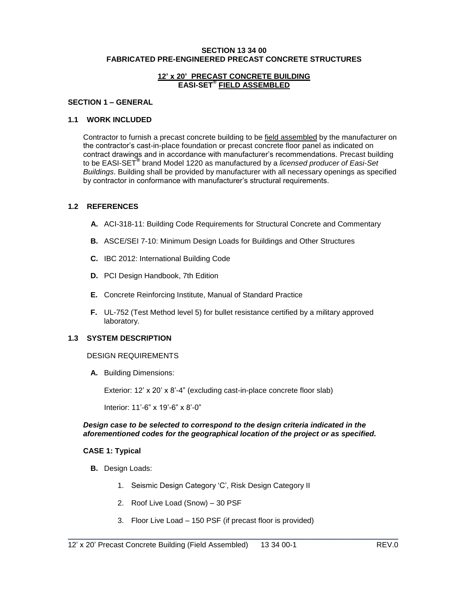### **SECTION 13 34 00 FABRICATED PRE-ENGINEERED PRECAST CONCRETE STRUCTURES**

### **12' x 20' PRECAST CONCRETE BUILDING EASI-SET® FIELD ASSEMBLED**

### **SECTION 1 – GENERAL**

## **1.1 WORK INCLUDED**

Contractor to furnish a precast concrete building to be field assembled by the manufacturer on the contractor's cast-in-place foundation or precast concrete floor panel as indicated on contract drawings and in accordance with manufacturer's recommendations. Precast building to be EASI-SET**®** brand Model 1220 as manufactured by a *licensed producer of Easi-Set Buildings*. Building shall be provided by manufacturer with all necessary openings as specified by contractor in conformance with manufacturer's structural requirements.

### **1.2 REFERENCES**

- **A.** ACI-318-11: Building Code Requirements for Structural Concrete and Commentary
- **B.** ASCE/SEI 7-10: Minimum Design Loads for Buildings and Other Structures
- **C.** IBC 2012: International Building Code
- **D.** PCI Design Handbook, 7th Edition
- **E.** Concrete Reinforcing Institute, Manual of Standard Practice
- **F.** UL-752 (Test Method level 5) for bullet resistance certified by a military approved laboratory.

### **1.3 SYSTEM DESCRIPTION**

#### DESIGN REQUIREMENTS

**A.** Building Dimensions:

Exterior: 12' x 20' x 8'-4" (excluding cast-in-place concrete floor slab)

Interior: 11'-6" x 19'-6" x 8'-0"

### *Design case to be selected to correspond to the design criteria indicated in the aforementioned codes for the geographical location of the project or as specified.*

### **CASE 1: Typical**

- **B.** Design Loads:
	- 1. Seismic Design Category 'C', Risk Design Category II
	- 2. Roof Live Load (Snow) 30 PSF
	- 3. Floor Live Load 150 PSF (if precast floor is provided)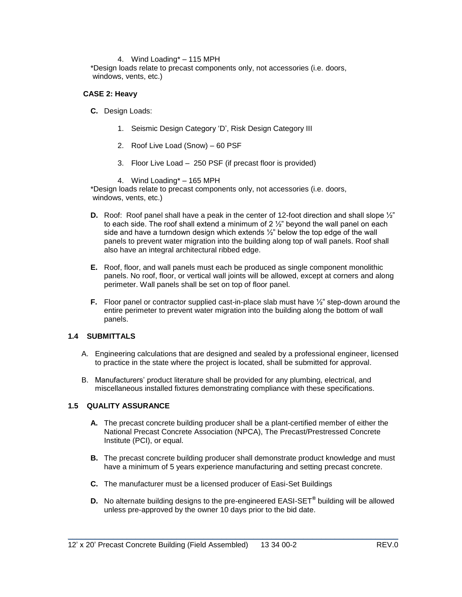### 4. Wind Loading\* – 115 MPH

\*Design loads relate to precast components only, not accessories (i.e. doors, windows, vents, etc.)

## **CASE 2: Heavy**

- **C.** Design Loads:
	- 1. Seismic Design Category 'D', Risk Design Category III
	- 2. Roof Live Load (Snow) 60 PSF
	- 3. Floor Live Load 250 PSF (if precast floor is provided)
	- 4. Wind Loading\* 165 MPH

\*Design loads relate to precast components only, not accessories (i.e. doors, windows, vents, etc.)

- **D.** Roof: Roof panel shall have a peak in the center of 12-foot direction and shall slope  $\frac{1}{2}$ " to each side. The roof shall extend a minimum of  $2\frac{1}{2}$ " beyond the wall panel on each side and have a turndown design which extends  $\frac{1}{2}$ " below the top edge of the wall panels to prevent water migration into the building along top of wall panels. Roof shall also have an integral architectural ribbed edge.
- **E.** Roof, floor, and wall panels must each be produced as single component monolithic panels. No roof, floor, or vertical wall joints will be allowed, except at corners and along perimeter. Wall panels shall be set on top of floor panel.
- **F.** Floor panel or contractor supplied cast-in-place slab must have  $\frac{1}{2}$ " step-down around the entire perimeter to prevent water migration into the building along the bottom of wall panels.

## **1.4 SUBMITTALS**

- A. Engineering calculations that are designed and sealed by a professional engineer, licensed to practice in the state where the project is located, shall be submitted for approval.
- B. Manufacturers' product literature shall be provided for any plumbing, electrical, and miscellaneous installed fixtures demonstrating compliance with these specifications.

## **1.5 QUALITY ASSURANCE**

- **A.** The precast concrete building producer shall be a plant-certified member of either the National Precast Concrete Association (NPCA), The Precast/Prestressed Concrete Institute (PCI), or equal.
- **B.** The precast concrete building producer shall demonstrate product knowledge and must have a minimum of 5 years experience manufacturing and setting precast concrete.
- **C.** The manufacturer must be a licensed producer of Easi-Set Buildings
- **D.** No alternate building designs to the pre-engineered EASI-SET**®** building will be allowed unless pre-approved by the owner 10 days prior to the bid date.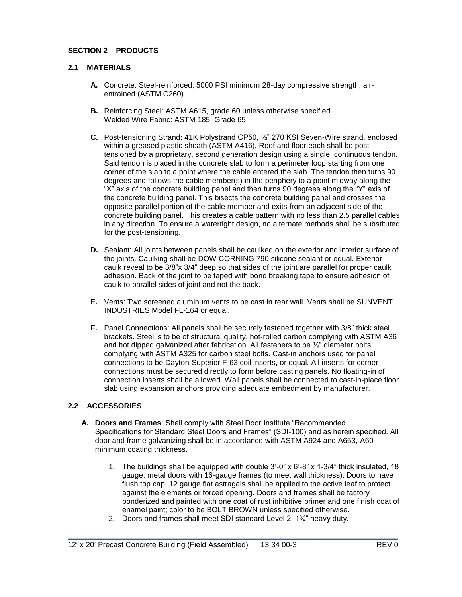# **SECTION 2 – PRODUCTS**

## **2.1 MATERIALS**

- **A.** Concrete: Steel-reinforced, 5000 PSI minimum 28-day compressive strength, airentrained (ASTM C260).
- **B.** Reinforcing Steel: ASTM A615, grade 60 unless otherwise specified. Welded Wire Fabric: ASTM 185, Grade 65
- **C.** Post-tensioning Strand: 41K Polystrand CP50, ½" 270 KSI Seven-Wire strand, enclosed within a greased plastic sheath (ASTM A416). Roof and floor each shall be posttensioned by a proprietary, second generation design using a single, continuous tendon. Said tendon is placed in the concrete slab to form a perimeter loop starting from one corner of the slab to a point where the cable entered the slab. The tendon then turns 90 degrees and follows the cable member(s) in the periphery to a point midway along the "X" axis of the concrete building panel and then turns 90 degrees along the "Y" axis of the concrete building panel. This bisects the concrete building panel and crosses the opposite parallel portion of the cable member and exits from an adjacent side of the concrete building panel. This creates a cable pattern with no less than 2.5 parallel cables in any direction. To ensure a watertight design, no alternate methods shall be substituted for the post-tensioning.
- **D.** Sealant: All joints between panels shall be caulked on the exterior and interior surface of the joints. Caulking shall be DOW CORNING 790 silicone sealant or equal. Exterior caulk reveal to be 3/8"x 3/4" deep so that sides of the joint are parallel for proper caulk adhesion. Back of the joint to be taped with bond breaking tape to ensure adhesion of caulk to parallel sides of joint and not the back.
- **E.** Vents: Two screened aluminum vents to be cast in rear wall. Vents shall be SUNVENT INDUSTRIES Model FL-164 or equal.
- **F.** Panel Connections: All panels shall be securely fastened together with 3/8" thick steel brackets. Steel is to be of structural quality, hot-rolled carbon complying with ASTM A36 and hot dipped galvanized after fabrication. All fasteners to be  $\frac{1}{2}$ " diameter bolts complying with ASTM A325 for carbon steel bolts. Cast-in anchors used for panel connections to be Dayton-Superior F-63 coil inserts, or equal. All inserts for corner connections must be secured directly to form before casting panels. No floating-in of connection inserts shall be allowed. Wall panels shall be connected to cast-in-place floor slab using expansion anchors providing adequate embedment by manufacturer.

## **2.2 ACCESSORIES**

- **A. Doors and Frames**: Shall comply with Steel Door Institute "Recommended Specifications for Standard Steel Doors and Frames" (SDI-100) and as herein specified. All door and frame galvanizing shall be in accordance with ASTM A924 and A653, A60 minimum coating thickness.
	- 1. The buildings shall be equipped with double 3'-0" x 6'-8" x 1-3/4" thick insulated, 18 gauge, metal doors with 16-gauge frames (to meet wall thickness). Doors to have flush top cap. 12 gauge flat astragals shall be applied to the active leaf to protect against the elements or forced opening. Doors and frames shall be factory bonderized and painted with one coat of rust inhibitive primer and one finish coat of enamel paint; color to be BOLT BROWN unless specified otherwise.
	- 2. Doors and frames shall meet SDI standard Level 2, 1¾" heavy duty.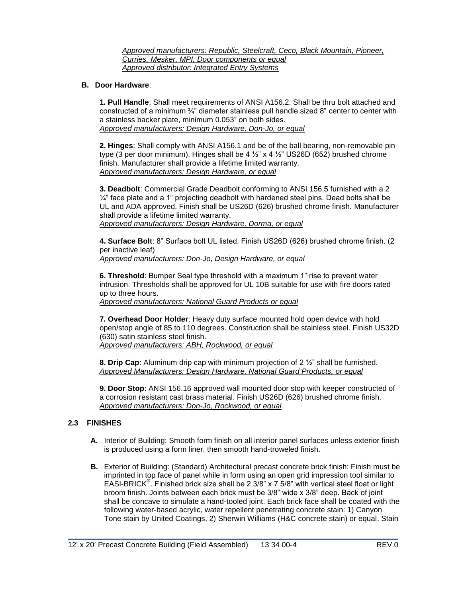*Approved manufacturers: Republic, Steelcraft, Ceco, Black Mountain, Pioneer, Curries, Mesker, MPI, Door components or equal Approved distributor: Integrated Entry Systems*

## **B. Door Hardware**:

**1. Pull Handle**: Shall meet requirements of ANSI A156.2. Shall be thru bolt attached and constructed of a minimum  $\frac{3}{4}$ " diameter stainless pull handle sized 8" center to center with a stainless backer plate, minimum 0.053" on both sides. *Approved manufacturers: Design Hardware, Don-Jo, or equal*

**2. Hinges**: Shall comply with ANSI A156.1 and be of the ball bearing, non-removable pin type (3 per door minimum). Hinges shall be 4  $\frac{1}{2}$  x 4  $\frac{1}{2}$  US26D (652) brushed chrome finish. Manufacturer shall provide a lifetime limited warranty. *Approved manufacturers: Design Hardware, or equal*

**3. Deadbolt**: Commercial Grade Deadbolt conforming to ANSI 156.5 furnished with a 2  $\frac{1}{4}$ " face plate and a 1" projecting deadbolt with hardened steel pins. Dead bolts shall be UL and ADA approved. Finish shall be US26D (626) brushed chrome finish. Manufacturer shall provide a lifetime limited warranty. *Approved manufacturers: Design Hardware, Dorma, or equal*

**4. Surface Bolt**: 8" Surface bolt UL listed. Finish US26D (626) brushed chrome finish. (2 per inactive leaf) *Approved manufacturers: Don-Jo, Design Hardware, or equal*

**6. Threshold**: Bumper Seal type threshold with a maximum 1" rise to prevent water intrusion. Thresholds shall be approved for UL 10B suitable for use with fire doors rated up to three hours.

*Approved manufacturers: National Guard Products or equal* 

**7. Overhead Door Holder**: Heavy duty surface mounted hold open device with hold open/stop angle of 85 to 110 degrees. Construction shall be stainless steel. Finish US32D (630) satin stainless steel finish.

*Approved manufacturers: ABH, Rockwood, or equal*

**8. Drip Cap**: Aluminum drip cap with minimum projection of 2 ½" shall be furnished. *Approved Manufacturers: Design Hardware, National Guard Products, or equal*

**9. Door Stop**: ANSI 156.16 approved wall mounted door stop with keeper constructed of a corrosion resistant cast brass material. Finish US26D (626) brushed chrome finish. *Approved manufacturers: Don-Jo, Rockwood, or equal*

## **2.3 FINISHES**

- **A.** Interior of Building: Smooth form finish on all interior panel surfaces unless exterior finish is produced using a form liner, then smooth hand-troweled finish.
- **B.** Exterior of Building: (Standard) Architectural precast concrete brick finish: Finish must be imprinted in top face of panel while in form using an open grid impression tool similar to EASI-BRICK**®** . Finished brick size shall be 2 3/8" x 7 5/8" with vertical steel float or light broom finish. Joints between each brick must be 3/8" wide x 3/8" deep. Back of joint shall be concave to simulate a hand-tooled joint. Each brick face shall be coated with the following water-based acrylic, water repellent penetrating concrete stain: 1) Canyon Tone stain by United Coatings, 2) Sherwin Williams (H&C concrete stain) or equal. Stain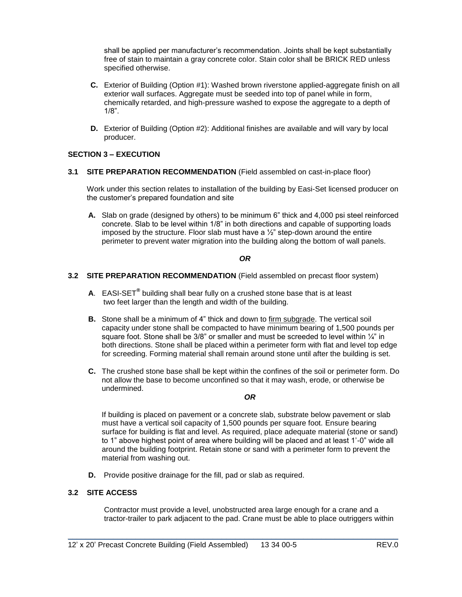shall be applied per manufacturer's recommendation. Joints shall be kept substantially free of stain to maintain a gray concrete color. Stain color shall be BRICK RED unless specified otherwise.

- **C.** Exterior of Building (Option #1): Washed brown riverstone applied-aggregate finish on all exterior wall surfaces. Aggregate must be seeded into top of panel while in form, chemically retarded, and high-pressure washed to expose the aggregate to a depth of 1/8".
- **D.** Exterior of Building (Option #2): Additional finishes are available and will vary by local producer.

## **SECTION 3 – EXECUTION**

## **3.1 SITE PREPARATION RECOMMENDATION** (Field assembled on cast-in-place floor)

Work under this section relates to installation of the building by Easi-Set licensed producer on the customer's prepared foundation and site

**A.** Slab on grade (designed by others) to be minimum 6" thick and 4,000 psi steel reinforced concrete. Slab to be level within 1/8" in both directions and capable of supporting loads imposed by the structure. Floor slab must have a  $\frac{1}{2}$ " step-down around the entire perimeter to prevent water migration into the building along the bottom of wall panels.

## *OR*

## **3.2 SITE PREPARATION RECOMMENDATION** (Field assembled on precast floor system)

- **A**. EASI-SET**®** building shall bear fully on a crushed stone base that is at least two feet larger than the length and width of the building.
- **B.** Stone shall be a minimum of 4" thick and down to firm subgrade. The vertical soil capacity under stone shall be compacted to have minimum bearing of 1,500 pounds per square foot. Stone shall be  $3/8$ " or smaller and must be screeded to level within  $\frac{1}{4}$ " in both directions. Stone shall be placed within a perimeter form with flat and level top edge for screeding. Forming material shall remain around stone until after the building is set.
- **C.** The crushed stone base shall be kept within the confines of the soil or perimeter form. Do not allow the base to become unconfined so that it may wash, erode, or otherwise be undermined.

## *OR*

If building is placed on pavement or a concrete slab, substrate below pavement or slab must have a vertical soil capacity of 1,500 pounds per square foot. Ensure bearing surface for building is flat and level. As required, place adequate material (stone or sand) to 1" above highest point of area where building will be placed and at least 1'-0" wide all around the building footprint. Retain stone or sand with a perimeter form to prevent the material from washing out.

**D.** Provide positive drainage for the fill, pad or slab as required.

## **3.2 SITE ACCESS**

Contractor must provide a level, unobstructed area large enough for a crane and a tractor-trailer to park adjacent to the pad. Crane must be able to place outriggers within